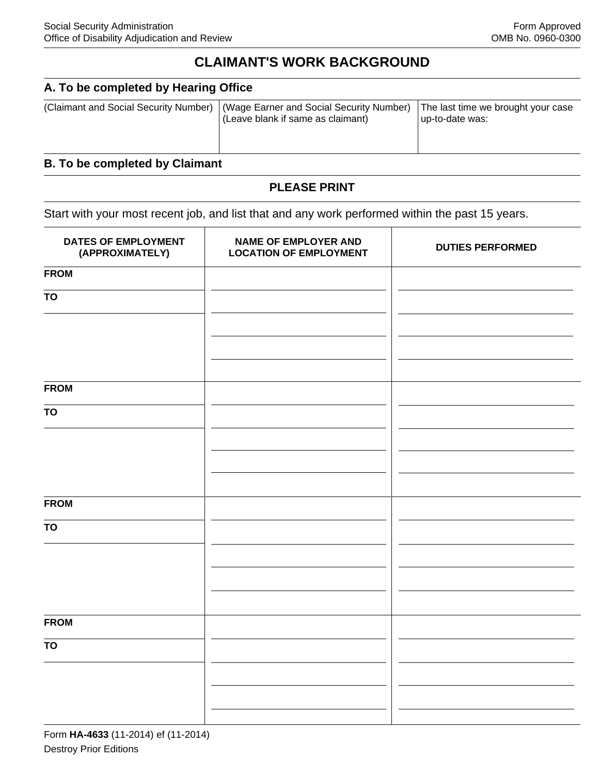# **CLAIMANT'S WORK BACKGROUND**

#### **A. To be completed by Hearing Office**

| (Claimant and Social Security Number)   (Wage Earner and Social Security Number)<br>I (Leave blank if same as claimant) | The last time we brought your case<br>up-to-date was: |
|-------------------------------------------------------------------------------------------------------------------------|-------------------------------------------------------|
|                                                                                                                         |                                                       |

## **B. To be completed by Claimant**

#### **PLEASE PRINT**

Start with your most recent job, and list that and any work performed within the past 15 years.

| DATES OF EMPLOYMENT<br>(APPROXIMATELY) | <b>NAME OF EMPLOYER AND</b><br><b>LOCATION OF EMPLOYMENT</b> | <b>DUTIES PERFORMED</b> |
|----------------------------------------|--------------------------------------------------------------|-------------------------|
| <b>FROM</b>                            |                                                              |                         |
| <b>TO</b>                              |                                                              |                         |
|                                        |                                                              |                         |
|                                        |                                                              |                         |
| <b>FROM</b>                            |                                                              |                         |
| TO                                     |                                                              |                         |
|                                        |                                                              |                         |
|                                        |                                                              |                         |
|                                        |                                                              |                         |
| <b>FROM</b>                            |                                                              |                         |
| <b>TO</b>                              |                                                              |                         |
|                                        |                                                              |                         |
|                                        |                                                              |                         |
|                                        |                                                              |                         |
| <b>FROM</b>                            |                                                              |                         |
| <b>TO</b>                              |                                                              |                         |
|                                        |                                                              |                         |
|                                        |                                                              |                         |
|                                        |                                                              |                         |